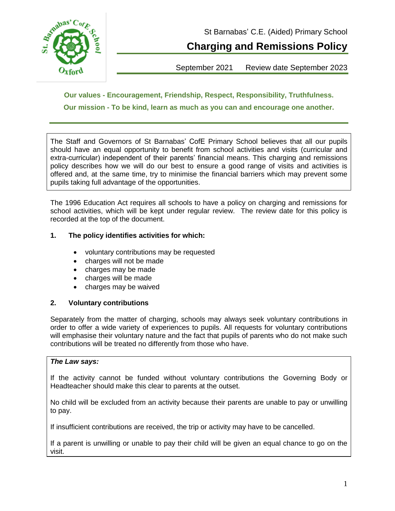

**Charging and Remissions Policy**

September 2021 Review date September 2023

# **Our values - Encouragement, Friendship, Respect, Responsibility, Truthfulness. Our mission - To be kind, learn as much as you can and encourage one another.**

The Staff and Governors of St Barnabas' CofE Primary School believes that all our pupils should have an equal opportunity to benefit from school activities and visits (curricular and extra-curricular) independent of their parents' financial means. This charging and remissions policy describes how we will do our best to ensure a good range of visits and activities is offered and, at the same time, try to minimise the financial barriers which may prevent some pupils taking full advantage of the opportunities.

The 1996 Education Act requires all schools to have a policy on charging and remissions for school activities, which will be kept under regular review. The review date for this policy is recorded at the top of the document.

# **1. The policy identifies activities for which:**

- voluntary contributions may be requested
- charges will not be made
- charges may be made
- charges will be made
- charges may be waived

# **2. Voluntary contributions**

Separately from the matter of charging, schools may always seek voluntary contributions in order to offer a wide variety of experiences to pupils. All requests for voluntary contributions will emphasise their voluntary nature and the fact that pupils of parents who do not make such contributions will be treated no differently from those who have.

# *The Law says:*

If the activity cannot be funded without voluntary contributions the Governing Body or Headteacher should make this clear to parents at the outset.

No child will be excluded from an activity because their parents are unable to pay or unwilling to pay.

If insufficient contributions are received, the trip or activity may have to be cancelled.

If a parent is unwilling or unable to pay their child will be given an equal chance to go on the visit.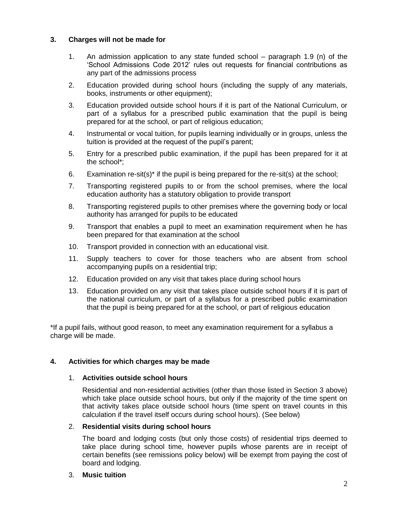# **3. Charges will not be made for**

- 1. An admission application to any state funded school paragraph 1.9 (n) of the 'School Admissions Code 2012' rules out requests for financial contributions as any part of the admissions process
- 2. Education provided during school hours (including the supply of any materials, books, instruments or other equipment);
- 3. Education provided outside school hours if it is part of the National Curriculum, or part of a syllabus for a prescribed public examination that the pupil is being prepared for at the school, or part of religious education;
- 4. Instrumental or vocal tuition, for pupils learning individually or in groups, unless the tuition is provided at the request of the pupil's parent;
- 5. Entry for a prescribed public examination, if the pupil has been prepared for it at the school\*;
- 6. Examination re-sit(s)\* if the pupil is being prepared for the re-sit(s) at the school;
- 7. Transporting registered pupils to or from the school premises, where the local education authority has a statutory obligation to provide transport
- 8. Transporting registered pupils to other premises where the governing body or local authority has arranged for pupils to be educated
- 9. Transport that enables a pupil to meet an examination requirement when he has been prepared for that examination at the school
- 10. Transport provided in connection with an educational visit.
- 11. Supply teachers to cover for those teachers who are absent from school accompanying pupils on a residential trip;
- 12. Education provided on any visit that takes place during school hours
- 13. Education provided on any visit that takes place outside school hours if it is part of the national curriculum, or part of a syllabus for a prescribed public examination that the pupil is being prepared for at the school, or part of religious education

\*If a pupil fails, without good reason, to meet any examination requirement for a syllabus a charge will be made.

# **4. Activities for which charges may be made**

# 1. **Activities outside school hours**

Residential and non-residential activities (other than those listed in Section 3 above) which take place outside school hours, but only if the majority of the time spent on that activity takes place outside school hours (time spent on travel counts in this calculation if the travel itself occurs during school hours). (See below)

# 2. **Residential visits during school hours**

The board and lodging costs (but only those costs) of residential trips deemed to take place during school time, however pupils whose parents are in receipt of certain benefits (see remissions policy below) will be exempt from paying the cost of board and lodging.

# 3. **Music tuition**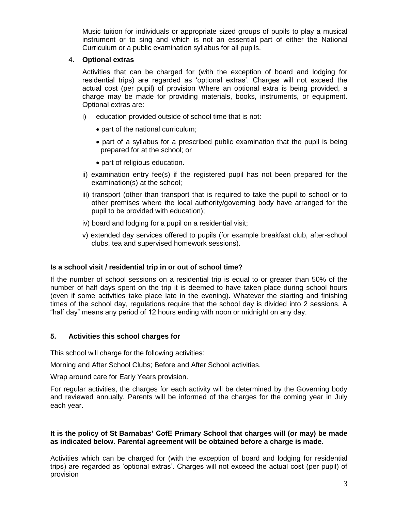Music tuition for individuals or appropriate sized groups of pupils to play a musical instrument or to sing and which is not an essential part of either the National Curriculum or a public examination syllabus for all pupils.

#### 4. **Optional extras**

Activities that can be charged for (with the exception of board and lodging for residential trips) are regarded as 'optional extras'. Charges will not exceed the actual cost (per pupil) of provision Where an optional extra is being provided, a charge may be made for providing materials, books, instruments, or equipment. Optional extras are:

- i) education provided outside of school time that is not:
	- part of the national curriculum;
	- part of a syllabus for a prescribed public examination that the pupil is being prepared for at the school; or
	- part of religious education.
- ii) examination entry fee(s) if the registered pupil has not been prepared for the examination(s) at the school;
- iii) transport (other than transport that is required to take the pupil to school or to other premises where the local authority/governing body have arranged for the pupil to be provided with education);
- iv) board and lodging for a pupil on a residential visit;
- v) extended day services offered to pupils (for example breakfast club, after-school clubs, tea and supervised homework sessions).

# **Is a school visit / residential trip in or out of school time?**

If the number of school sessions on a residential trip is equal to or greater than 50% of the number of half days spent on the trip it is deemed to have taken place during school hours (even if some activities take place late in the evening). Whatever the starting and finishing times of the school day, regulations require that the school day is divided into 2 sessions. A "half day" means any period of 12 hours ending with noon or midnight on any day.

#### **5. Activities this school charges for**

This school will charge for the following activities:

Morning and After School Clubs; Before and After School activities.

Wrap around care for Early Years provision.

For regular activities, the charges for each activity will be determined by the Governing body and reviewed annually. Parents will be informed of the charges for the coming year in July each year.

#### **It is the policy of St Barnabas' CofE Primary School that charges will (or may) be made as indicated below. Parental agreement will be obtained before a charge is made.**

Activities which can be charged for (with the exception of board and lodging for residential trips) are regarded as 'optional extras'. Charges will not exceed the actual cost (per pupil) of provision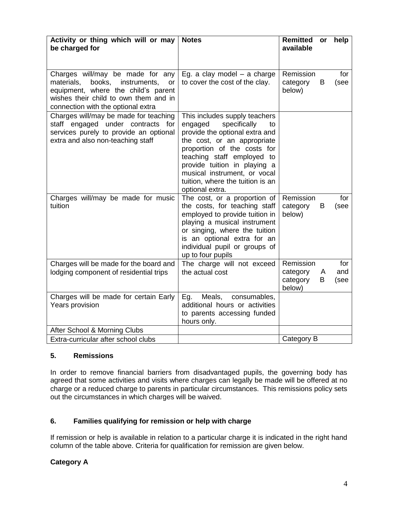| Activity or thing which will or may<br>be charged for                                                                                                                                          | <b>Notes</b>                                                                                                                                                                                                                                                                                                        | <b>Remitted</b><br>available                | or     | help               |
|------------------------------------------------------------------------------------------------------------------------------------------------------------------------------------------------|---------------------------------------------------------------------------------------------------------------------------------------------------------------------------------------------------------------------------------------------------------------------------------------------------------------------|---------------------------------------------|--------|--------------------|
| Charges will/may be made for any<br>materials, books, instruments,<br>or<br>equipment, where the child's parent<br>wishes their child to own them and in<br>connection with the optional extra | Eg. a clay model $-$ a charge<br>to cover the cost of the clay.                                                                                                                                                                                                                                                     | Remission<br>category<br>below)             | B      | for<br>(see        |
| Charges will/may be made for teaching<br>staff engaged under contracts for<br>services purely to provide an optional<br>extra and also non-teaching staff                                      | This includes supply teachers<br>specifically<br>engaged<br>to<br>provide the optional extra and<br>the cost, or an appropriate<br>proportion of the costs for<br>teaching staff employed to<br>provide tuition in playing a<br>musical instrument, or vocal<br>tuition, where the tuition is an<br>optional extra. |                                             |        |                    |
| Charges will/may be made for music<br>tuition                                                                                                                                                  | The cost, or a proportion of<br>the costs, for teaching staff<br>employed to provide tuition in<br>playing a musical instrument<br>or singing, where the tuition<br>is an optional extra for an<br>individual pupil or groups of<br>up to four pupils                                                               | Remission<br>category<br>below)             | B      | for<br>(see        |
| Charges will be made for the board and<br>lodging component of residential trips                                                                                                               | The charge will not exceed<br>the actual cost                                                                                                                                                                                                                                                                       | Remission<br>category<br>category<br>below) | A<br>B | for<br>and<br>(see |
| Charges will be made for certain Early<br>Years provision                                                                                                                                      | Meals,<br>consumables,<br>Eg.<br>additional hours or activities<br>to parents accessing funded<br>hours only.                                                                                                                                                                                                       |                                             |        |                    |
| After School & Morning Clubs<br>Extra-curricular after school clubs                                                                                                                            |                                                                                                                                                                                                                                                                                                                     | Category B                                  |        |                    |

# **5. Remissions**

In order to remove financial barriers from disadvantaged pupils, the governing body has agreed that some activities and visits where charges can legally be made will be offered at no charge or a reduced charge to parents in particular circumstances. This remissions policy sets out the circumstances in which charges will be waived.

# **6. Families qualifying for remission or help with charge**

If remission or help is available in relation to a particular charge it is indicated in the right hand column of the table above. Criteria for qualification for remission are given below.

# **Category A**